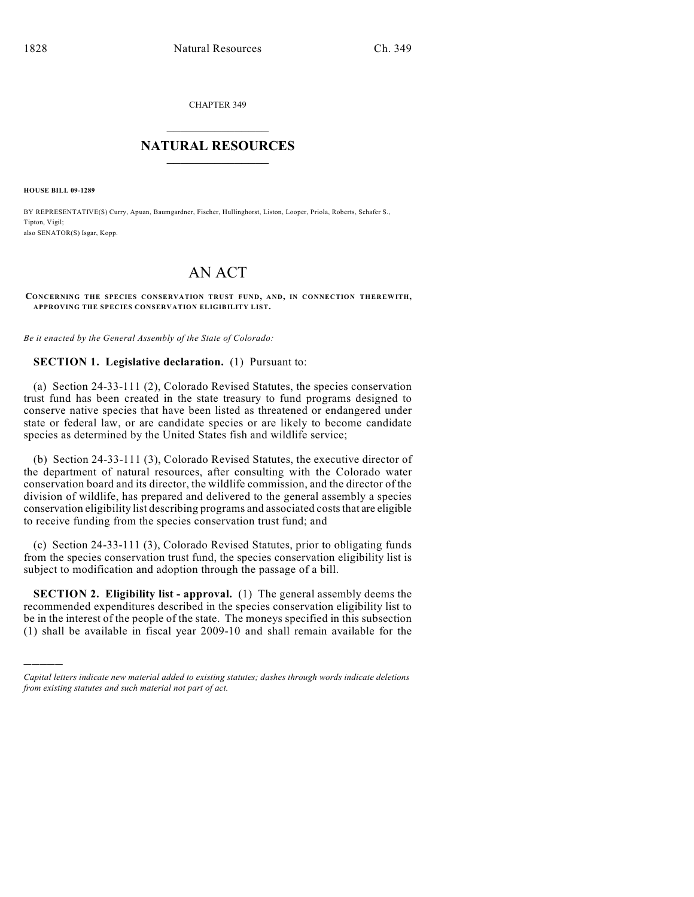CHAPTER 349

## $\mathcal{L}_\text{max}$  . The set of the set of the set of the set of the set of the set of the set of the set of the set of the set of the set of the set of the set of the set of the set of the set of the set of the set of the set **NATURAL RESOURCES**  $\frac{1}{\sqrt{2}}$  ,  $\frac{1}{\sqrt{2}}$  ,  $\frac{1}{\sqrt{2}}$  ,  $\frac{1}{\sqrt{2}}$  ,  $\frac{1}{\sqrt{2}}$  ,  $\frac{1}{\sqrt{2}}$

**HOUSE BILL 09-1289**

)))))

BY REPRESENTATIVE(S) Curry, Apuan, Baumgardner, Fischer, Hullinghorst, Liston, Looper, Priola, Roberts, Schafer S., Tipton, Vigil; also SENATOR(S) Isgar, Kopp.

## AN ACT

## **CONCERNING THE SPECIES CONSERVATION TRUST FUND, AND, IN CONNECTION THEREWITH, APPROVING THE SPECIES CONSERVATION ELIGIBILITY LIST.**

*Be it enacted by the General Assembly of the State of Colorado:*

## **SECTION 1. Legislative declaration.** (1) Pursuant to:

(a) Section 24-33-111 (2), Colorado Revised Statutes, the species conservation trust fund has been created in the state treasury to fund programs designed to conserve native species that have been listed as threatened or endangered under state or federal law, or are candidate species or are likely to become candidate species as determined by the United States fish and wildlife service;

(b) Section 24-33-111 (3), Colorado Revised Statutes, the executive director of the department of natural resources, after consulting with the Colorado water conservation board and its director, the wildlife commission, and the director of the division of wildlife, has prepared and delivered to the general assembly a species conservation eligibility list describing programs and associated costs that are eligible to receive funding from the species conservation trust fund; and

(c) Section 24-33-111 (3), Colorado Revised Statutes, prior to obligating funds from the species conservation trust fund, the species conservation eligibility list is subject to modification and adoption through the passage of a bill.

**SECTION 2. Eligibility list - approval.** (1) The general assembly deems the recommended expenditures described in the species conservation eligibility list to be in the interest of the people of the state. The moneys specified in this subsection (1) shall be available in fiscal year 2009-10 and shall remain available for the

*Capital letters indicate new material added to existing statutes; dashes through words indicate deletions from existing statutes and such material not part of act.*